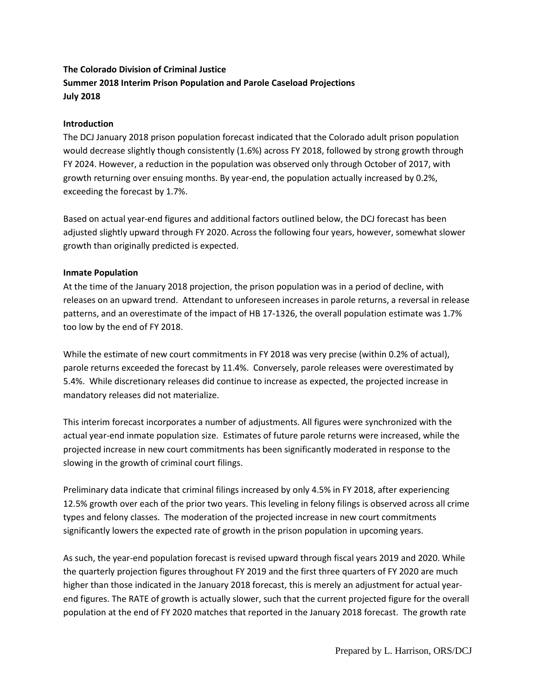# **The Colorado Division of Criminal Justice Summer 2018 Interim Prison Population and Parole Caseload Projections July 2018**

### **Introduction**

The DCJ January 2018 prison population forecast indicated that the Colorado adult prison population would decrease slightly though consistently (1.6%) across FY 2018, followed by strong growth through FY 2024. However, a reduction in the population was observed only through October of 2017, with growth returning over ensuing months. By year-end, the population actually increased by 0.2%, exceeding the forecast by 1.7%.

Based on actual year-end figures and additional factors outlined below, the DCJ forecast has been adjusted slightly upward through FY 2020. Across the following four years, however, somewhat slower growth than originally predicted is expected.

#### **Inmate Population**

At the time of the January 2018 projection, the prison population was in a period of decline, with releases on an upward trend. Attendant to unforeseen increases in parole returns, a reversal in release patterns, and an overestimate of the impact of HB 17-1326, the overall population estimate was 1.7% too low by the end of FY 2018.

While the estimate of new court commitments in FY 2018 was very precise (within 0.2% of actual), parole returns exceeded the forecast by 11.4%. Conversely, parole releases were overestimated by 5.4%. While discretionary releases did continue to increase as expected, the projected increase in mandatory releases did not materialize.

This interim forecast incorporates a number of adjustments. All figures were synchronized with the actual year-end inmate population size. Estimates of future parole returns were increased, while the projected increase in new court commitments has been significantly moderated in response to the slowing in the growth of criminal court filings.

Preliminary data indicate that criminal filings increased by only 4.5% in FY 2018, after experiencing 12.5% growth over each of the prior two years. This leveling in felony filings is observed across all crime types and felony classes. The moderation of the projected increase in new court commitments significantly lowers the expected rate of growth in the prison population in upcoming years.

As such, the year-end population forecast is revised upward through fiscal years 2019 and 2020. While the quarterly projection figures throughout FY 2019 and the first three quarters of FY 2020 are much higher than those indicated in the January 2018 forecast, this is merely an adjustment for actual yearend figures. The RATE of growth is actually slower, such that the current projected figure for the overall population at the end of FY 2020 matches that reported in the January 2018 forecast. The growth rate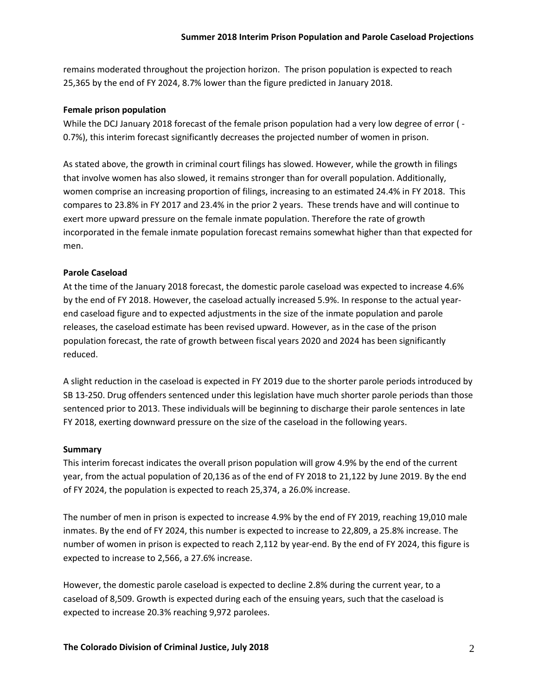remains moderated throughout the projection horizon. The prison population is expected to reach 25,365 by the end of FY 2024, 8.7% lower than the figure predicted in January 2018.

### **Female prison population**

While the DCJ January 2018 forecast of the female prison population had a very low degree of error (-0.7%), this interim forecast significantly decreases the projected number of women in prison.

As stated above, the growth in criminal court filings has slowed. However, while the growth in filings that involve women has also slowed, it remains stronger than for overall population. Additionally, women comprise an increasing proportion of filings, increasing to an estimated 24.4% in FY 2018. This compares to 23.8% in FY 2017 and 23.4% in the prior 2 years. These trends have and will continue to exert more upward pressure on the female inmate population. Therefore the rate of growth incorporated in the female inmate population forecast remains somewhat higher than that expected for men.

## **Parole Caseload**

At the time of the January 2018 forecast, the domestic parole caseload was expected to increase 4.6% by the end of FY 2018. However, the caseload actually increased 5.9%. In response to the actual yearend caseload figure and to expected adjustments in the size of the inmate population and parole releases, the caseload estimate has been revised upward. However, as in the case of the prison population forecast, the rate of growth between fiscal years 2020 and 2024 has been significantly reduced.

A slight reduction in the caseload is expected in FY 2019 due to the shorter parole periods introduced by SB 13-250. Drug offenders sentenced under this legislation have much shorter parole periods than those sentenced prior to 2013. These individuals will be beginning to discharge their parole sentences in late FY 2018, exerting downward pressure on the size of the caseload in the following years.

#### **Summary**

This interim forecast indicates the overall prison population will grow 4.9% by the end of the current year, from the actual population of 20,136 as of the end of FY 2018 to 21,122 by June 2019. By the end of FY 2024, the population is expected to reach 25,374, a 26.0% increase.

The number of men in prison is expected to increase 4.9% by the end of FY 2019, reaching 19,010 male inmates. By the end of FY 2024, this number is expected to increase to 22,809, a 25.8% increase. The number of women in prison is expected to reach 2,112 by year-end. By the end of FY 2024, this figure is expected to increase to 2,566, a 27.6% increase.

However, the domestic parole caseload is expected to decline 2.8% during the current year, to a caseload of 8,509. Growth is expected during each of the ensuing years, such that the caseload is expected to increase 20.3% reaching 9,972 parolees.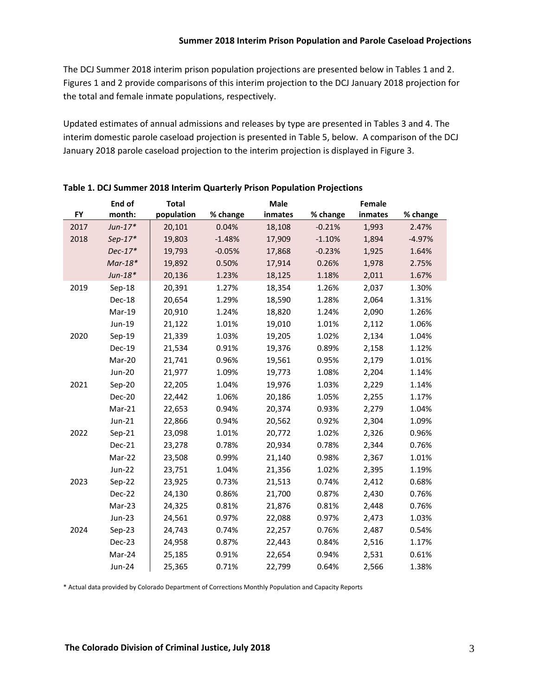The DCJ Summer 2018 interim prison population projections are presented below in Tables 1 and 2. Figures 1 and 2 provide comparisons of this interim projection to the DCJ January 2018 projection for the total and female inmate populations, respectively.

Updated estimates of annual admissions and releases by type are presented in Tables 3 and 4. The interim domestic parole caseload projection is presented in Table 5, below. A comparison of the DCJ January 2018 parole caseload projection to the interim projection is displayed in Figure 3.

|           | End of        | <b>Total</b> |          | <b>Male</b> |          | Female  |          |
|-----------|---------------|--------------|----------|-------------|----------|---------|----------|
| <b>FY</b> | month:        | population   | % change | inmates     | % change | inmates | % change |
| 2017      | $Jun-17*$     | 20,101       | 0.04%    | 18,108      | $-0.21%$ | 1,993   | 2.47%    |
| 2018      | $Sep-17*$     | 19,803       | $-1.48%$ | 17,909      | $-1.10%$ | 1,894   | $-4.97%$ |
|           | $Dec-17*$     | 19,793       | $-0.05%$ | 17,868      | $-0.23%$ | 1,925   | 1.64%    |
|           | $Mar-18*$     | 19,892       | 0.50%    | 17,914      | 0.26%    | 1,978   | 2.75%    |
|           | $Jun-18*$     | 20,136       | 1.23%    | 18,125      | 1.18%    | 2,011   | 1.67%    |
| 2019      | $Sep-18$      | 20,391       | 1.27%    | 18,354      | 1.26%    | 2,037   | 1.30%    |
|           | Dec-18        | 20,654       | 1.29%    | 18,590      | 1.28%    | 2,064   | 1.31%    |
|           | Mar-19        | 20,910       | 1.24%    | 18,820      | 1.24%    | 2,090   | 1.26%    |
|           | Jun-19        | 21,122       | 1.01%    | 19,010      | 1.01%    | 2,112   | 1.06%    |
| 2020      | $Sep-19$      | 21,339       | 1.03%    | 19,205      | 1.02%    | 2,134   | 1.04%    |
|           | Dec-19        | 21,534       | 0.91%    | 19,376      | 0.89%    | 2,158   | 1.12%    |
|           | Mar-20        | 21,741       | 0.96%    | 19,561      | 0.95%    | 2,179   | 1.01%    |
|           | <b>Jun-20</b> | 21,977       | 1.09%    | 19,773      | 1.08%    | 2,204   | 1.14%    |
| 2021      | $Sep-20$      | 22,205       | 1.04%    | 19,976      | 1.03%    | 2,229   | 1.14%    |
|           | Dec-20        | 22,442       | 1.06%    | 20,186      | 1.05%    | 2,255   | 1.17%    |
|           | Mar-21        | 22,653       | 0.94%    | 20,374      | 0.93%    | 2,279   | 1.04%    |
|           | Jun-21        | 22,866       | 0.94%    | 20,562      | 0.92%    | 2,304   | 1.09%    |
| 2022      | $Sep-21$      | 23,098       | 1.01%    | 20,772      | 1.02%    | 2,326   | 0.96%    |
|           | <b>Dec-21</b> | 23,278       | 0.78%    | 20,934      | 0.78%    | 2,344   | 0.76%    |
|           | Mar-22        | 23,508       | 0.99%    | 21,140      | 0.98%    | 2,367   | 1.01%    |
|           | Jun-22        | 23,751       | 1.04%    | 21,356      | 1.02%    | 2,395   | 1.19%    |
| 2023      | Sep-22        | 23,925       | 0.73%    | 21,513      | 0.74%    | 2,412   | 0.68%    |
|           | Dec-22        | 24,130       | 0.86%    | 21,700      | 0.87%    | 2,430   | 0.76%    |
|           | Mar-23        | 24,325       | 0.81%    | 21,876      | 0.81%    | 2,448   | 0.76%    |
|           | Jun-23        | 24,561       | 0.97%    | 22,088      | 0.97%    | 2,473   | 1.03%    |
| 2024      | $Sep-23$      | 24,743       | 0.74%    | 22,257      | 0.76%    | 2,487   | 0.54%    |
|           | Dec-23        | 24,958       | 0.87%    | 22,443      | 0.84%    | 2,516   | 1.17%    |
|           | Mar-24        | 25,185       | 0.91%    | 22,654      | 0.94%    | 2,531   | 0.61%    |
|           | Jun-24        | 25,365       | 0.71%    | 22,799      | 0.64%    | 2,566   | 1.38%    |

**Table 1. DCJ Summer 2018 Interim Quarterly Prison Population Projections** 

\* Actual data provided by Colorado Department of Corrections Monthly Population and Capacity Reports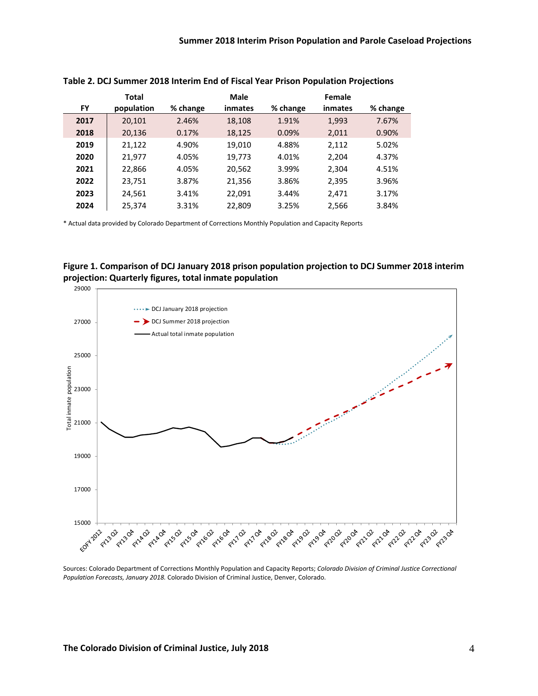|      | Total      |          | <b>Male</b> |          | Female  |          |
|------|------------|----------|-------------|----------|---------|----------|
| FY   | population | % change | inmates     | % change | inmates | % change |
| 2017 | 20,101     | 2.46%    | 18,108      | 1.91%    | 1,993   | 7.67%    |
| 2018 | 20,136     | 0.17%    | 18,125      | 0.09%    | 2,011   | 0.90%    |
| 2019 | 21,122     | 4.90%    | 19,010      | 4.88%    | 2,112   | 5.02%    |
| 2020 | 21,977     | 4.05%    | 19,773      | 4.01%    | 2.204   | 4.37%    |
| 2021 | 22,866     | 4.05%    | 20,562      | 3.99%    | 2,304   | 4.51%    |
| 2022 | 23,751     | 3.87%    | 21,356      | 3.86%    | 2,395   | 3.96%    |
| 2023 | 24,561     | 3.41%    | 22,091      | 3.44%    | 2,471   | 3.17%    |
| 2024 | 25,374     | 3.31%    | 22,809      | 3.25%    | 2,566   | 3.84%    |

**Table 2. DCJ Summer 2018 Interim End of Fiscal Year Prison Population Projections**

\* Actual data provided by Colorado Department of Corrections Monthly Population and Capacity Reports





Sources: Colorado Department of Corrections Monthly Population and Capacity Reports; *Colorado Division of Criminal Justice Correctional Population Forecasts, January 2018.* Colorado Division of Criminal Justice, Denver, Colorado.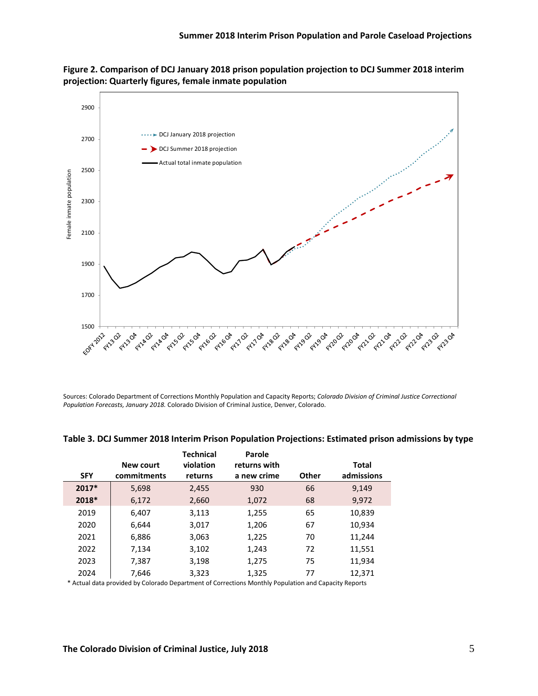



Sources: Colorado Department of Corrections Monthly Population and Capacity Reports; *Colorado Division of Criminal Justice Correctional Population Forecasts, January 2018.* Colorado Division of Criminal Justice, Denver, Colorado.

|            |                  | <b>Technical</b> | Parole       |              |              |
|------------|------------------|------------------|--------------|--------------|--------------|
|            | <b>New court</b> | violation        | returns with |              | <b>Total</b> |
| <b>SFY</b> | commitments      | returns          | a new crime  | <b>Other</b> | admissions   |
| 2017*      | 5,698            | 2,455            | 930          | 66           | 9,149        |
| 2018*      | 6,172            | 2,660            | 1,072        | 68           | 9,972        |
| 2019       | 6,407            | 3,113            | 1,255        | 65           | 10,839       |
| 2020       | 6,644            | 3,017            | 1,206        | 67           | 10,934       |
| 2021       | 6,886            | 3,063            | 1,225        | 70           | 11,244       |
| 2022       | 7,134            | 3,102            | 1,243        | 72           | 11,551       |
| 2023       | 7,387            | 3,198            | 1,275        | 75           | 11,934       |
| 2024       | 7,646            | 3,323            | 1,325        | 77           | 12,371       |
|            |                  |                  |              |              |              |

#### **Table 3. DCJ Summer 2018 Interim Prison Population Projections: Estimated prison admissions by type**

\* Actual data provided by Colorado Department of Corrections Monthly Population and Capacity Reports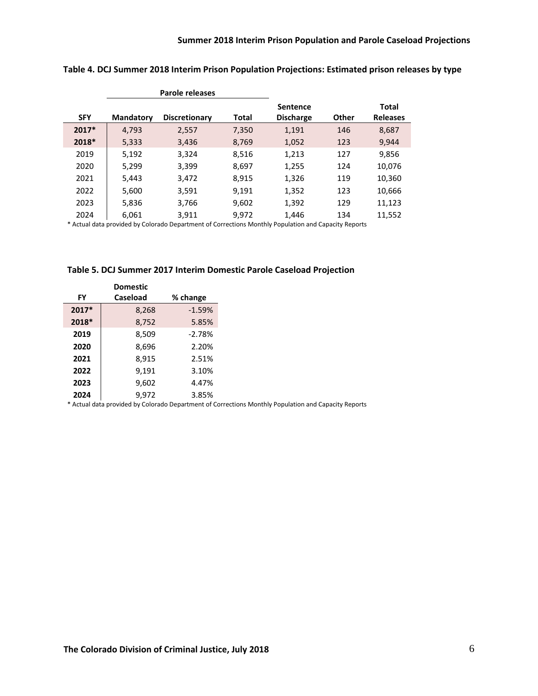|            |                  | Parole releases      |              |                  |       |                 |
|------------|------------------|----------------------|--------------|------------------|-------|-----------------|
|            |                  |                      |              | <b>Sentence</b>  |       | <b>Total</b>    |
| <b>SFY</b> | <b>Mandatory</b> | <b>Discretionary</b> | <b>Total</b> | <b>Discharge</b> | Other | <b>Releases</b> |
| $2017*$    | 4,793            | 2,557                | 7,350        | 1,191            | 146   | 8,687           |
| 2018*      | 5,333            | 3,436                | 8,769        | 1,052            | 123   | 9,944           |
| 2019       | 5,192            | 3,324                | 8,516        | 1,213            | 127   | 9,856           |
| 2020       | 5,299            | 3,399                | 8,697        | 1,255            | 124   | 10,076          |
| 2021       | 5,443            | 3,472                | 8,915        | 1,326            | 119   | 10,360          |
| 2022       | 5,600            | 3,591                | 9,191        | 1,352            | 123   | 10,666          |
| 2023       | 5,836            | 3,766                | 9,602        | 1,392            | 129   | 11,123          |
| 2024       | 6,061            | 3,911                | 9.972        | 1,446            | 134   | 11,552          |

## **Table 4. DCJ Summer 2018 Interim Prison Population Projections: Estimated prison releases by type**

\* Actual data provided by Colorado Department of Corrections Monthly Population and Capacity Reports

|           | <b>Domestic</b> |          |
|-----------|-----------------|----------|
| <b>FY</b> | <b>Caseload</b> | % change |
| 2017*     | 8,268           | $-1.59%$ |
| 2018*     | 8,752           | 5.85%    |
| 2019      | 8,509           | $-2.78%$ |
| 2020      | 8,696           | 2.20%    |
| 2021      | 8,915           | 2.51%    |
| 2022      | 9,191           | 3.10%    |
| 2023      | 9,602           | 4.47%    |
| 2024      | 9.972           | 3.85%    |

\* Actual data provided by Colorado Department of Corrections Monthly Population and Capacity Reports